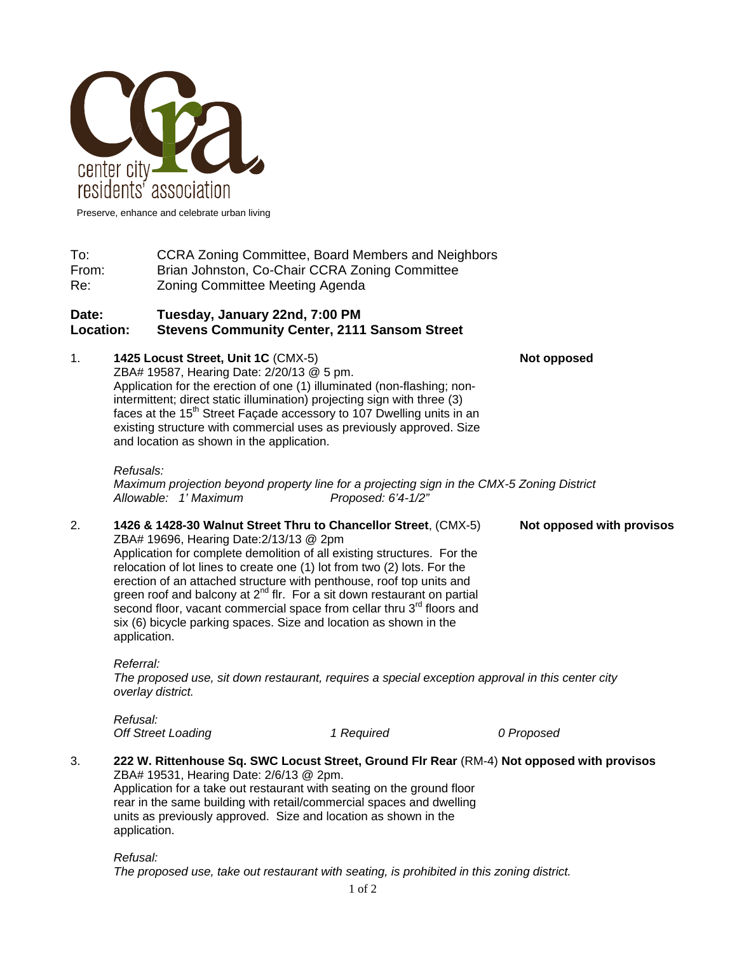

Preserve, enhance and celebrate urban living

To: CCRA Zoning Committee, Board Members and Neighbors From: Brian Johnston, Co-Chair CCRA Zoning Committee Re: Zoning Committee Meeting Agenda

# **Date: Tuesday, January 22nd, 7:00 PM Location: Stevens Community Center, 2111 Sansom Street**

1. **1425 Locust Street, Unit 1C** (CMX-5) **Not opposed Manual Action Act on the Act of the Street, Unit 1C** (CMX-5)

ZBA# 19587, Hearing Date: 2/20/13 @ 5 pm. Application for the erection of one (1) illuminated (non-flashing; nonintermittent; direct static illumination) projecting sign with three (3) faces at the 15<sup>th</sup> Street Façade accessory to 107 Dwelling units in an existing structure with commercial uses as previously approved. Size and location as shown in the application.

#### *Refusals:*

*Refusal:* 

*Maximum projection beyond property line for a projecting sign in the CMX-5 Zoning District Allowable: 1' Maximum Proposed: 6'4-1/2"* 

2. **1426 & 1428-30 Walnut Street Thru to Chancellor Street**, (CMX-5) **Not opposed with provisos** ZBA# 19696, Hearing Date:2/13/13 @ 2pm Application for complete demolition of all existing structures. For the relocation of lot lines to create one (1) lot from two (2) lots. For the erection of an attached structure with penthouse, roof top units and green roof and balcony at  $2^{nd}$  flr. For a sit down restaurant on partial second floor, vacant commercial space from cellar thru 3<sup>rd</sup> floors and six (6) bicycle parking spaces. Size and location as shown in the application.

*Referral: The proposed use, sit down restaurant, requires a special exception approval in this center city overlay district.* 

| .                         |            |            |
|---------------------------|------------|------------|
| <b>Off Street Loading</b> | 1 Required | 0 Proposed |

3. **222 W. Rittenhouse Sq. SWC Locust Street, Ground Flr Rear** (RM-4) **Not opposed with provisos** ZBA# 19531, Hearing Date: 2/6/13 @ 2pm. Application for a take out restaurant with seating on the ground floor rear in the same building with retail/commercial spaces and dwelling units as previously approved. Size and location as shown in the application.

*Refusal: The proposed use, take out restaurant with seating, is prohibited in this zoning district.*